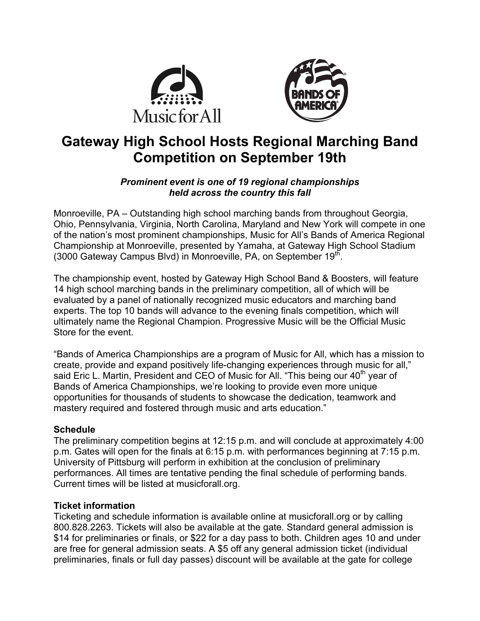



# **Gateway High School Hosts Regional Marching Band Competition on September 19th**

# *Prominent event is one of 19 regional championships held across the country this fall*

Monroeville, PA – Outstanding high school marching bands from throughout Georgia, Ohio, Pennsylvania, Virginia, North Carolina, Maryland and New York will compete in one of the nation's most prominent championships, Music for All's Bands of America Regional Championship at Monroeville, presented by Yamaha, at Gateway High School Stadium (3000 Gateway Campus Blvd) in Monroeville, PA, on September  $19<sup>th</sup>$ .

The championship event, hosted by Gateway High School Band & Boosters, will feature 14 high school marching bands in the preliminary competition, all of which will be evaluated by a panel of nationally recognized music educators and marching band experts. The top 10 bands will advance to the evening finals competition, which will ultimately name the Regional Champion. Progressive Music will be the Official Music Store for the event.

"Bands of America Championships are a program of Music for All, which has a mission to create, provide and expand positively life-changing experiences through music for all," said Eric L. Martin, President and CEO of Music for All. "This being our 40<sup>th</sup> year of Bands of America Championships, we're looking to provide even more unique opportunities for thousands of students to showcase the dedication, teamwork and mastery required and fostered through music and arts education."

# **Schedule**

The preliminary competition begins at 12:15 p.m. and will conclude at approximately 4:00 p.m. Gates will open for the finals at 6:15 p.m. with performances beginning at 7:15 p.m. University of Pittsburg will perform in exhibition at the conclusion of preliminary performances. All times are tentative pending the final schedule of performing bands. Current times will be listed at musicforall.org.

#### **Ticket information**

Ticketing and schedule information is available online at musicforall.org or by calling 800.828.2263. Tickets will also be available at the gate. Standard general admission is \$14 for preliminaries or finals, or \$22 for a day pass to both. Children ages 10 and under are free for general admission seats. A \$5 off any general admission ticket (individual preliminaries, finals or full day passes) discount will be available at the gate for college